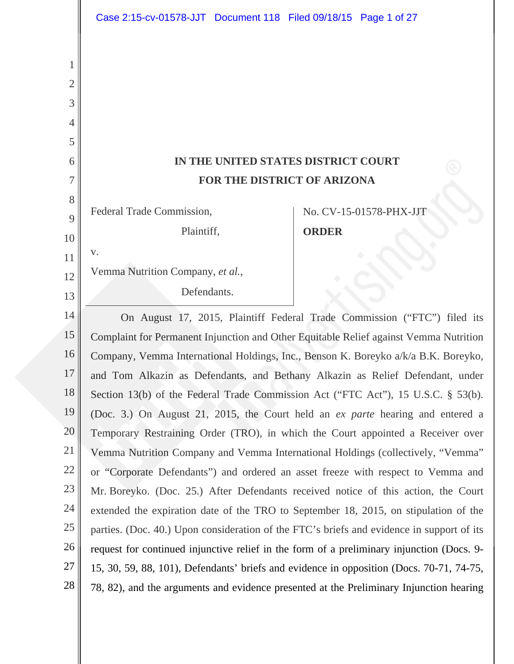|    | Case 2:15-cv-01578-JJT Document 118 Filed 09/18/15 Page 1 of 27                           |                         |
|----|-------------------------------------------------------------------------------------------|-------------------------|
|    |                                                                                           |                         |
|    |                                                                                           |                         |
| 2  |                                                                                           |                         |
| 3  |                                                                                           |                         |
|    |                                                                                           |                         |
| 5  |                                                                                           |                         |
| 6  | IN THE UNITED STATES DISTRICT COURT                                                       |                         |
| 7  | FOR THE DISTRICT OF ARIZONA                                                               |                         |
| 8  |                                                                                           |                         |
| 9  | Federal Trade Commission,                                                                 | No. CV-15-01578-PHX-JJT |
| 10 | Plaintiff,                                                                                | <b>ORDER</b>            |
| 11 | V.                                                                                        |                         |
| 12 | Vemma Nutrition Company, et al.,                                                          |                         |
| 13 | Defendants.                                                                               |                         |
| 14 | On August 17, 2015, Plaintiff Federal Trade Commission ("FTC") filed its                  |                         |
| 15 | Complaint for Permanent Injunction and Other Equitable Relief against Vemma Nutrition     |                         |
| 16 | Company, Vemma International Holdings, Inc., Benson K. Boreyko a/k/a B.K. Boreyko,        |                         |
| 17 | and Tom Alkazin as Defendants, and Bethany Alkazin as Relief Defendant, under             |                         |
| 18 | Section 13(b) of the Federal Trade Commission Act ("FTC Act"), 15 U.S.C. § 53(b).         |                         |
| 19 | (Doc. 3.) On August 21, 2015, the Court held an ex parte hearing and entered a            |                         |
| 20 | Temporary Restraining Order (TRO), in which the Court appointed a Receiver over           |                         |
| 21 | Vemma Nutrition Company and Vemma International Holdings (collectively, "Vemma"           |                         |
| 22 | or "Corporate Defendants") and ordered an asset freeze with respect to Vemma and          |                         |
| 23 | Mr. Boreyko. (Doc. 25.) After Defendants received notice of this action, the Court        |                         |
| 24 | extended the expiration date of the TRO to September 18, 2015, on stipulation of the      |                         |
| 25 | parties. (Doc. 40.) Upon consideration of the FTC's briefs and evidence in support of its |                         |
| 26 | request for continued injunctive relief in the form of a preliminary injunction (Docs. 9- |                         |
| 27 | 15, 30, 59, 88, 101), Defendants' briefs and evidence in opposition (Docs. 70-71, 74-75,  |                         |
| 28 | 78, 82), and the arguments and evidence presented at the Preliminary Injunction hearing   |                         |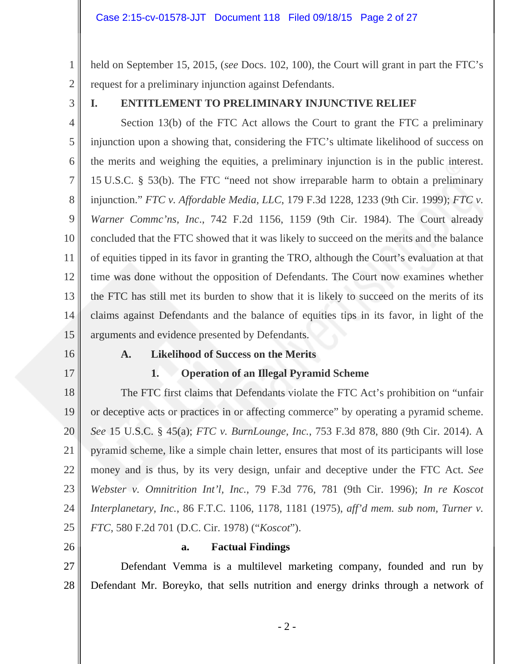held on September 15, 2015, (*see* Docs. 102, 100), the Court will grant in part the FTC's request for a preliminary injunction against Defendants.

3

1

2

### **I. ENTITLEMENT TO PRELIMINARY INJUNCTIVE RELIEF**

4 5 6 7 8 9 10 11 12 13 14 15 Section 13(b) of the FTC Act allows the Court to grant the FTC a preliminary injunction upon a showing that, considering the FTC's ultimate likelihood of success on the merits and weighing the equities, a preliminary injunction is in the public interest. 15 U.S.C. § 53(b). The FTC "need not show irreparable harm to obtain a preliminary injunction." *FTC v. Affordable Media, LLC*, 179 F.3d 1228, 1233 (9th Cir. 1999); *FTC v. Warner Commc'ns, Inc*., 742 F.2d 1156, 1159 (9th Cir. 1984). The Court already concluded that the FTC showed that it was likely to succeed on the merits and the balance of equities tipped in its favor in granting the TRO, although the Court's evaluation at that time was done without the opposition of Defendants. The Court now examines whether the FTC has still met its burden to show that it is likely to succeed on the merits of its claims against Defendants and the balance of equities tips in its favor, in light of the arguments and evidence presented by Defendants.

16

17

# **A. Likelihood of Success on the Merits**

### **1. Operation of an Illegal Pyramid Scheme**

18 19 20 21 22 23 24 25 The FTC first claims that Defendants violate the FTC Act's prohibition on "unfair or deceptive acts or practices in or affecting commerce" by operating a pyramid scheme. *See* 15 U.S.C. § 45(a); *FTC v. BurnLounge, Inc.*, 753 F.3d 878, 880 (9th Cir. 2014). A pyramid scheme, like a simple chain letter, ensures that most of its participants will lose money and is thus, by its very design, unfair and deceptive under the FTC Act. *See Webster v. Omnitrition Int'l, Inc.*, 79 F.3d 776, 781 (9th Cir. 1996); *In re Koscot Interplanetary, Inc.*, 86 F.T.C. 1106, 1178, 1181 (1975), *aff'd mem. sub nom, Turner v. FTC*, 580 F.2d 701 (D.C. Cir. 1978) ("*Koscot*").

26

### **a. Factual Findings**

27 28 Defendant Vemma is a multilevel marketing company, founded and run by Defendant Mr. Boreyko, that sells nutrition and energy drinks through a network of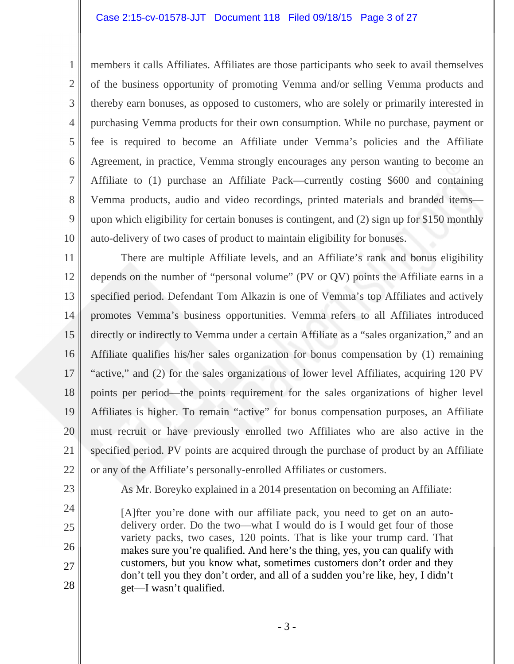members it calls Affiliates. Affiliates are those participants who seek to avail themselves of the business opportunity of promoting Vemma and/or selling Vemma products and thereby earn bonuses, as opposed to customers, who are solely or primarily interested in purchasing Vemma products for their own consumption. While no purchase, payment or fee is required to become an Affiliate under Vemma's policies and the Affiliate Agreement, in practice, Vemma strongly encourages any person wanting to become an Affiliate to (1) purchase an Affiliate Pack—currently costing \$600 and containing Vemma products, audio and video recordings, printed materials and branded items upon which eligibility for certain bonuses is contingent, and (2) sign up for \$150 monthly auto-delivery of two cases of product to maintain eligibility for bonuses.

11 12 13 14 15 16 17 18 19 20 21 22 There are multiple Affiliate levels, and an Affiliate's rank and bonus eligibility depends on the number of "personal volume" (PV or QV) points the Affiliate earns in a specified period. Defendant Tom Alkazin is one of Vemma's top Affiliates and actively promotes Vemma's business opportunities. Vemma refers to all Affiliates introduced directly or indirectly to Vemma under a certain Affiliate as a "sales organization," and an Affiliate qualifies his/her sales organization for bonus compensation by (1) remaining "active," and (2) for the sales organizations of lower level Affiliates, acquiring 120 PV points per period—the points requirement for the sales organizations of higher level Affiliates is higher. To remain "active" for bonus compensation purposes, an Affiliate must recruit or have previously enrolled two Affiliates who are also active in the specified period. PV points are acquired through the purchase of product by an Affiliate or any of the Affiliate's personally-enrolled Affiliates or customers.

23 24

25

26

27

28

1

2

3

4

5

6

7

8

9

10

As Mr. Boreyko explained in a 2014 presentation on becoming an Affiliate:

[A]fter you're done with our affiliate pack, you need to get on an autodelivery order. Do the two—what I would do is I would get four of those variety packs, two cases, 120 points. That is like your trump card. That makes sure you're qualified. And here's the thing, yes, you can qualify with customers, but you know what, sometimes customers don't order and they don't tell you they don't order, and all of a sudden you're like, hey, I didn't get—I wasn't qualified.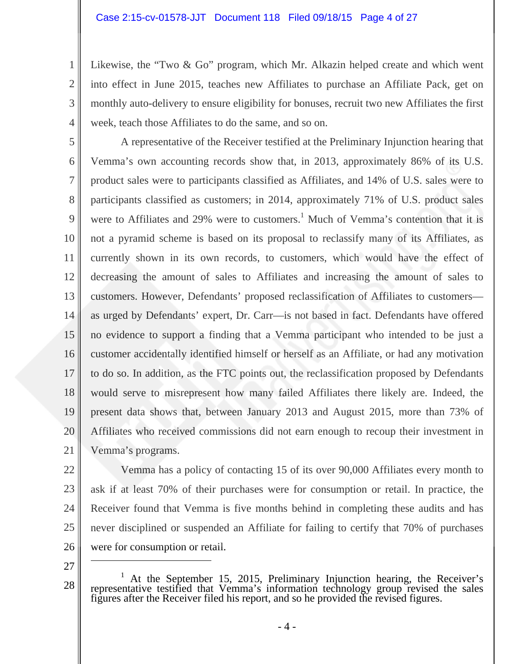Likewise, the "Two & Go" program, which Mr. Alkazin helped create and which went into effect in June 2015, teaches new Affiliates to purchase an Affiliate Pack, get on monthly auto-delivery to ensure eligibility for bonuses, recruit two new Affiliates the first week, teach those Affiliates to do the same, and so on.

5 6 7 8 9 10 11 12 13 14 15 16 17 18 19 20 21 A representative of the Receiver testified at the Preliminary Injunction hearing that Vemma's own accounting records show that, in 2013, approximately 86% of its U.S. product sales were to participants classified as Affiliates, and 14% of U.S. sales were to participants classified as customers; in 2014, approximately 71% of U.S. product sales were to Affiliates and 29% were to customers.<sup>1</sup> Much of Vemma's contention that it is not a pyramid scheme is based on its proposal to reclassify many of its Affiliates, as currently shown in its own records, to customers, which would have the effect of decreasing the amount of sales to Affiliates and increasing the amount of sales to customers. However, Defendants' proposed reclassification of Affiliates to customers as urged by Defendants' expert, Dr. Carr—is not based in fact. Defendants have offered no evidence to support a finding that a Vemma participant who intended to be just a customer accidentally identified himself or herself as an Affiliate, or had any motivation to do so. In addition, as the FTC points out, the reclassification proposed by Defendants would serve to misrepresent how many failed Affiliates there likely are. Indeed, the present data shows that, between January 2013 and August 2015, more than 73% of Affiliates who received commissions did not earn enough to recoup their investment in Vemma's programs.

22 23

1

2

3

4

24 25 26 Vemma has a policy of contacting 15 of its over 90,000 Affiliates every month to ask if at least 70% of their purchases were for consumption or retail. In practice, the Receiver found that Vemma is five months behind in completing these audits and has never disciplined or suspended an Affiliate for failing to certify that 70% of purchases were for consumption or retail.

27

<sup>28</sup>  <sup>1</sup> At the September 15, 2015, Preliminary Injunction hearing, the Receiver's representative testified that Vemma's information technology group revised the sales figures after the Receiver filed his report, and so he pro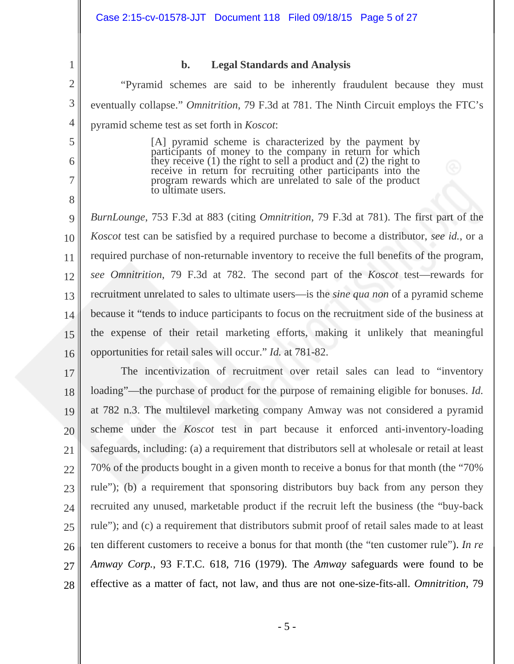### **b. Legal Standards and Analysis**

1

2

3

4

5

6

7

8

"Pyramid schemes are said to be inherently fraudulent because they must eventually collapse." *Omnitrition*, 79 F.3d at 781. The Ninth Circuit employs the FTC's pyramid scheme test as set forth in *Koscot*:

> [A] pyramid scheme is characterized by the payment by participants of money to the company in return for which they receive (1) the right to sell a product and (2) the right to receive in return for recruiting other participants into the program rewards which are unrelated to sale of the product to ultimate users.

9 10 11 12 13 14 15 16 *BurnLounge*, 753 F.3d at 883 (citing *Omnitrition*, 79 F.3d at 781). The first part of the *Koscot* test can be satisfied by a required purchase to become a distributor, *see id.*, or a required purchase of non-returnable inventory to receive the full benefits of the program, *see Omnitrition*, 79 F.3d at 782. The second part of the *Koscot* test—rewards for recruitment unrelated to sales to ultimate users—is the *sine qua non* of a pyramid scheme because it "tends to induce participants to focus on the recruitment side of the business at the expense of their retail marketing efforts, making it unlikely that meaningful opportunities for retail sales will occur." *Id.* at 781-82.

17 18 19 20 21 22 23 24 25 26 27 28 The incentivization of recruitment over retail sales can lead to "inventory loading"—the purchase of product for the purpose of remaining eligible for bonuses. *Id.*  at 782 n.3. The multilevel marketing company Amway was not considered a pyramid scheme under the *Koscot* test in part because it enforced anti-inventory-loading safeguards, including: (a) a requirement that distributors sell at wholesale or retail at least 70% of the products bought in a given month to receive a bonus for that month (the "70% rule"); (b) a requirement that sponsoring distributors buy back from any person they recruited any unused, marketable product if the recruit left the business (the "buy-back rule"); and (c) a requirement that distributors submit proof of retail sales made to at least ten different customers to receive a bonus for that month (the "ten customer rule"). *In re Amway Corp.*, 93 F.T.C. 618, 716 (1979). The *Amway* safeguards were found to be effective as a matter of fact, not law, and thus are not one-size-fits-all. *Omnitrition*, 79

- 5 -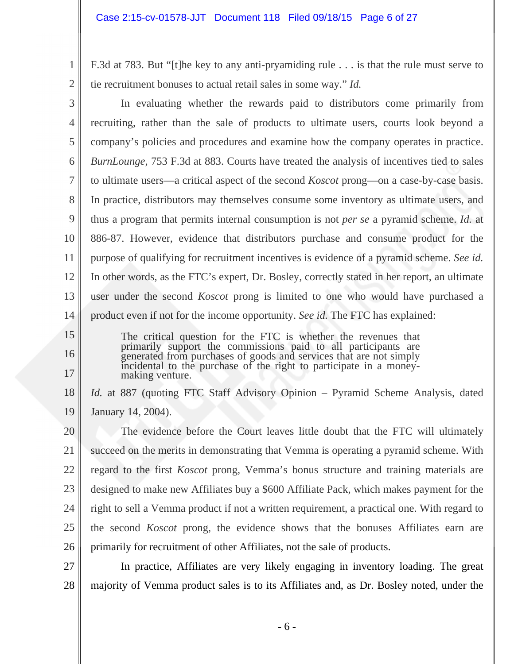F.3d at 783. But "[t]he key to any anti-pryamiding rule . . . is that the rule must serve to tie recruitment bonuses to actual retail sales in some way." *Id.* 

3 4 5 6 7 8 9 10 11 12 13 14 In evaluating whether the rewards paid to distributors come primarily from recruiting, rather than the sale of products to ultimate users, courts look beyond a company's policies and procedures and examine how the company operates in practice. *BurnLounge*, 753 F.3d at 883. Courts have treated the analysis of incentives tied to sales to ultimate users—a critical aspect of the second *Koscot* prong—on a case-by-case basis. In practice, distributors may themselves consume some inventory as ultimate users, and thus a program that permits internal consumption is not *per se* a pyramid scheme. *Id.* at 886-87. However, evidence that distributors purchase and consume product for the purpose of qualifying for recruitment incentives is evidence of a pyramid scheme. *See id.* In other words, as the FTC's expert, Dr. Bosley, correctly stated in her report, an ultimate user under the second *Koscot* prong is limited to one who would have purchased a product even if not for the income opportunity. *See id.* The FTC has explained:

15

1

2

16

17

The critical question for the FTC is whether the revenues that primarily support the commissions paid to all participants are generated from purchases of goods and services that are not simply incidental to the purchase of the right to participate in a moneymaking venture.

18 19 *Id.* at 887 (quoting FTC Staff Advisory Opinion – Pyramid Scheme Analysis, dated January 14, 2004).

20 21 22 23 24 25 26 The evidence before the Court leaves little doubt that the FTC will ultimately succeed on the merits in demonstrating that Vemma is operating a pyramid scheme. With regard to the first *Koscot* prong, Vemma's bonus structure and training materials are designed to make new Affiliates buy a \$600 Affiliate Pack, which makes payment for the right to sell a Vemma product if not a written requirement, a practical one. With regard to the second *Koscot* prong, the evidence shows that the bonuses Affiliates earn are primarily for recruitment of other Affiliates, not the sale of products.

27 28 In practice, Affiliates are very likely engaging in inventory loading. The great majority of Vemma product sales is to its Affiliates and, as Dr. Bosley noted, under the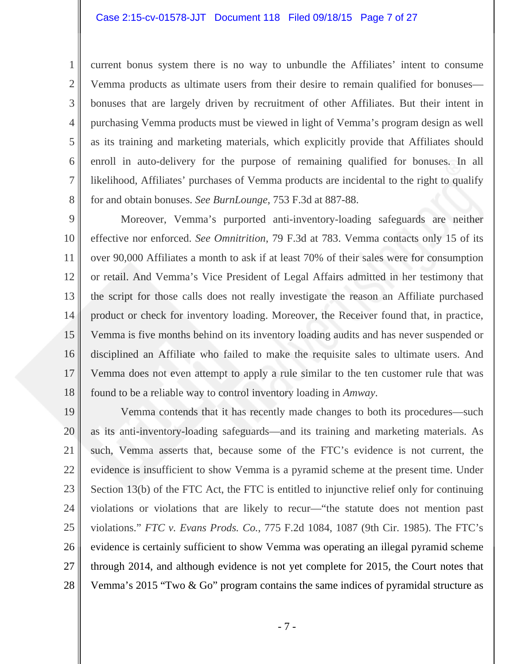1

2

3

4

5

6

7

8

current bonus system there is no way to unbundle the Affiliates' intent to consume Vemma products as ultimate users from their desire to remain qualified for bonuses bonuses that are largely driven by recruitment of other Affiliates. But their intent in purchasing Vemma products must be viewed in light of Vemma's program design as well as its training and marketing materials, which explicitly provide that Affiliates should enroll in auto-delivery for the purpose of remaining qualified for bonuses. In all likelihood, Affiliates' purchases of Vemma products are incidental to the right to qualify for and obtain bonuses. *See BurnLounge*, 753 F.3d at 887-88.

9 10 11 12 13 14 15 16 17 18 Moreover, Vemma's purported anti-inventory-loading safeguards are neither effective nor enforced. *See Omnitrition*, 79 F.3d at 783. Vemma contacts only 15 of its over 90,000 Affiliates a month to ask if at least 70% of their sales were for consumption or retail. And Vemma's Vice President of Legal Affairs admitted in her testimony that the script for those calls does not really investigate the reason an Affiliate purchased product or check for inventory loading. Moreover, the Receiver found that, in practice, Vemma is five months behind on its inventory loading audits and has never suspended or disciplined an Affiliate who failed to make the requisite sales to ultimate users. And Vemma does not even attempt to apply a rule similar to the ten customer rule that was found to be a reliable way to control inventory loading in *Amway*.

19 20 21 22 23 24 25 26 27 28 Vemma contends that it has recently made changes to both its procedures—such as its anti-inventory-loading safeguards—and its training and marketing materials. As such, Vemma asserts that, because some of the FTC's evidence is not current, the evidence is insufficient to show Vemma is a pyramid scheme at the present time. Under Section 13(b) of the FTC Act, the FTC is entitled to injunctive relief only for continuing violations or violations that are likely to recur—"the statute does not mention past violations." *FTC v. Evans Prods. Co.*, 775 F.2d 1084, 1087 (9th Cir. 1985). The FTC's evidence is certainly sufficient to show Vemma was operating an illegal pyramid scheme through 2014, and although evidence is not yet complete for 2015, the Court notes that Vemma's 2015 "Two & Go" program contains the same indices of pyramidal structure as

- 7 -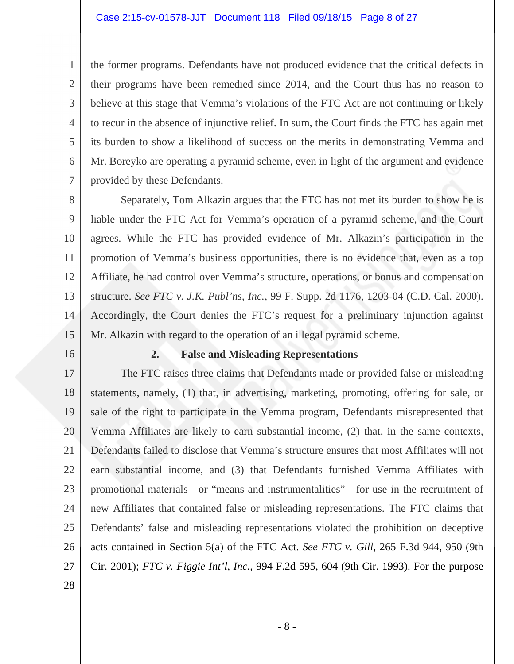### Case 2:15-cv-01578-JJT Document 118 Filed 09/18/15 Page 8 of 27

the former programs. Defendants have not produced evidence that the critical defects in their programs have been remedied since 2014, and the Court thus has no reason to believe at this stage that Vemma's violations of the FTC Act are not continuing or likely to recur in the absence of injunctive relief. In sum, the Court finds the FTC has again met its burden to show a likelihood of success on the merits in demonstrating Vemma and Mr. Boreyko are operating a pyramid scheme, even in light of the argument and evidence provided by these Defendants.

8 9 10 11 12 13 14 15 Separately, Tom Alkazin argues that the FTC has not met its burden to show he is liable under the FTC Act for Vemma's operation of a pyramid scheme, and the Court agrees. While the FTC has provided evidence of Mr. Alkazin's participation in the promotion of Vemma's business opportunities, there is no evidence that, even as a top Affiliate, he had control over Vemma's structure, operations, or bonus and compensation structure. *See FTC v. J.K. Publ'ns, Inc.*, 99 F. Supp. 2d 1176, 1203-04 (C.D. Cal. 2000). Accordingly, the Court denies the FTC's request for a preliminary injunction against Mr. Alkazin with regard to the operation of an illegal pyramid scheme.

16

1

2

3

4

5

6

7

### **2. False and Misleading Representations**

17 18 19 20 21 22 23 24 25 26 27 The FTC raises three claims that Defendants made or provided false or misleading statements, namely, (1) that, in advertising, marketing, promoting, offering for sale, or sale of the right to participate in the Vemma program, Defendants misrepresented that Vemma Affiliates are likely to earn substantial income, (2) that, in the same contexts, Defendants failed to disclose that Vemma's structure ensures that most Affiliates will not earn substantial income, and (3) that Defendants furnished Vemma Affiliates with promotional materials—or "means and instrumentalities"—for use in the recruitment of new Affiliates that contained false or misleading representations. The FTC claims that Defendants' false and misleading representations violated the prohibition on deceptive acts contained in Section 5(a) of the FTC Act. *See FTC v. Gill*, 265 F.3d 944, 950 (9th Cir. 2001); *FTC v. Figgie Int'l, Inc.*, 994 F.2d 595, 604 (9th Cir. 1993). For the purpose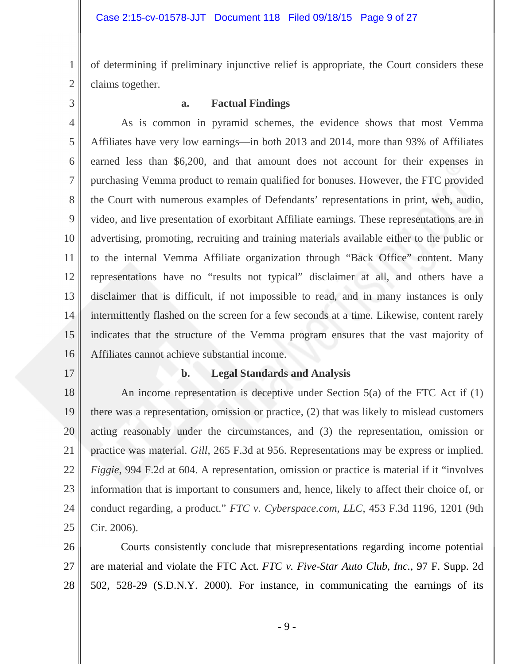of determining if preliminary injunctive relief is appropriate, the Court considers these claims together.

3

1

2

### **a. Factual Findings**

4 5 6 7 8 9 10 11 12 13 14 15 16 As is common in pyramid schemes, the evidence shows that most Vemma Affiliates have very low earnings—in both 2013 and 2014, more than 93% of Affiliates earned less than \$6,200, and that amount does not account for their expenses in purchasing Vemma product to remain qualified for bonuses. However, the FTC provided the Court with numerous examples of Defendants' representations in print, web, audio, video, and live presentation of exorbitant Affiliate earnings. These representations are in advertising, promoting, recruiting and training materials available either to the public or to the internal Vemma Affiliate organization through "Back Office" content. Many representations have no "results not typical" disclaimer at all, and others have a disclaimer that is difficult, if not impossible to read, and in many instances is only intermittently flashed on the screen for a few seconds at a time. Likewise, content rarely indicates that the structure of the Vemma program ensures that the vast majority of Affiliates cannot achieve substantial income.

17

### **b. Legal Standards and Analysis**

18 19 20 21 22 23 24 25 An income representation is deceptive under Section 5(a) of the FTC Act if (1) there was a representation, omission or practice, (2) that was likely to mislead customers acting reasonably under the circumstances, and (3) the representation, omission or practice was material. *Gill*, 265 F.3d at 956. Representations may be express or implied. *Figgie*, 994 F.2d at 604. A representation, omission or practice is material if it "involves information that is important to consumers and, hence, likely to affect their choice of, or conduct regarding, a product." *FTC v. Cyberspace.com, LLC*, 453 F.3d 1196, 1201 (9th Cir. 2006).

26 27 28 Courts consistently conclude that misrepresentations regarding income potential are material and violate the FTC Act. *FTC v. Five-Star Auto Club, Inc.*, 97 F. Supp. 2d 502, 528-29 (S.D.N.Y. 2000). For instance, in communicating the earnings of its

- 9 -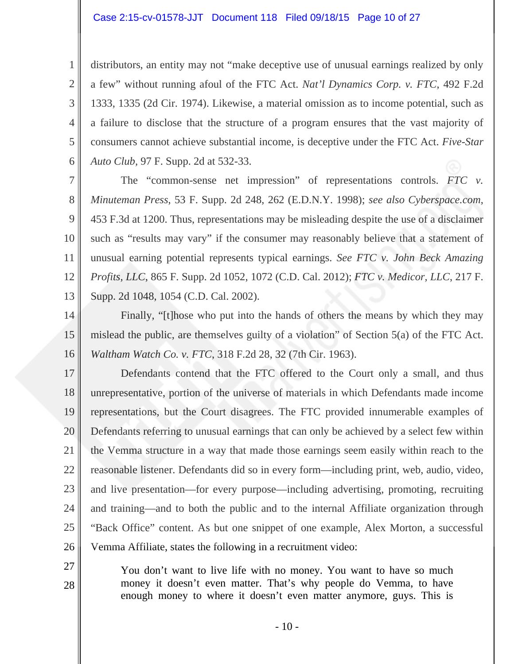#### Case 2:15-cv-01578-JJT Document 118 Filed 09/18/15 Page 10 of 27

1

2

3

4

5

6

27

28

distributors, an entity may not "make deceptive use of unusual earnings realized by only a few" without running afoul of the FTC Act. *Nat'l Dynamics Corp. v. FTC*, 492 F.2d 1333, 1335 (2d Cir. 1974). Likewise, a material omission as to income potential, such as a failure to disclose that the structure of a program ensures that the vast majority of consumers cannot achieve substantial income, is deceptive under the FTC Act. *Five-Star Auto Club,* 97 F. Supp. 2d at 532-33.

7 8 9 10 11 12 13 The "common-sense net impression" of representations controls. *FTC v. Minuteman Press*, 53 F. Supp. 2d 248, 262 (E.D.N.Y. 1998); *see also Cyberspace.com*, 453 F.3d at 1200. Thus, representations may be misleading despite the use of a disclaimer such as "results may vary" if the consumer may reasonably believe that a statement of unusual earning potential represents typical earnings. *See FTC v. John Beck Amazing Profits, LLC*, 865 F. Supp. 2d 1052, 1072 (C.D. Cal. 2012); *FTC v. Medicor, LLC*, 217 F. Supp. 2d 1048, 1054 (C.D. Cal. 2002).

14 15 16 Finally, "[t]hose who put into the hands of others the means by which they may mislead the public, are themselves guilty of a violation" of Section 5(a) of the FTC Act. *Waltham Watch Co. v. FTC*, 318 F.2d 28, 32 (7th Cir. 1963).

17 18 19 20 21 22 23 24 25 26 Defendants contend that the FTC offered to the Court only a small, and thus unrepresentative, portion of the universe of materials in which Defendants made income representations, but the Court disagrees. The FTC provided innumerable examples of Defendants referring to unusual earnings that can only be achieved by a select few within the Vemma structure in a way that made those earnings seem easily within reach to the reasonable listener. Defendants did so in every form—including print, web, audio, video, and live presentation—for every purpose—including advertising, promoting, recruiting and training—and to both the public and to the internal Affiliate organization through "Back Office" content. As but one snippet of one example, Alex Morton, a successful Vemma Affiliate, states the following in a recruitment video:

You don't want to live life with no money. You want to have so much money it doesn't even matter. That's why people do Vemma, to have enough money to where it doesn't even matter anymore, guys. This is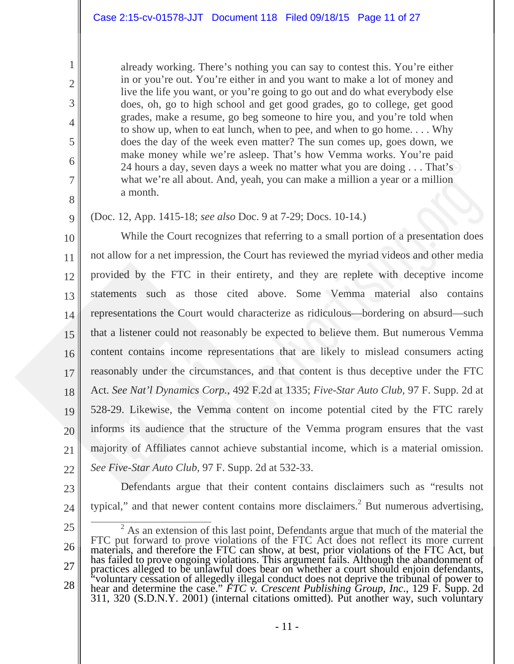already working. There's nothing you can say to contest this. You're either in or you're out. You're either in and you want to make a lot of money and live the life you want, or you're going to go out and do what everybody else does, oh, go to high school and get good grades, go to college, get good grades, make a resume, go beg someone to hire you, and you're told when to show up, when to eat lunch, when to pee, and when to go home. . . . Why does the day of the week even matter? The sun comes up, goes down, we make money while we're asleep. That's how Vemma works. You're paid 24 hours a day, seven days a week no matter what you are doing . . . That's what we're all about. And, yeah, you can make a million a year or a million a month.

# (Doc. 12, App. 1415-18; *see also* Doc. 9 at 7-29; Docs. 10-14.)

10 11 12 13 14 15 16 17 18 19 20 21 22 While the Court recognizes that referring to a small portion of a presentation does not allow for a net impression, the Court has reviewed the myriad videos and other media provided by the FTC in their entirety, and they are replete with deceptive income statements such as those cited above. Some Vemma material also contains representations the Court would characterize as ridiculous—bordering on absurd—such that a listener could not reasonably be expected to believe them. But numerous Vemma content contains income representations that are likely to mislead consumers acting reasonably under the circumstances, and that content is thus deceptive under the FTC Act. *See Nat'l Dynamics Corp.*, 492 F.2d at 1335; *Five-Star Auto Club,* 97 F. Supp. 2d at 528-29. Likewise, the Vemma content on income potential cited by the FTC rarely informs its audience that the structure of the Vemma program ensures that the vast majority of Affiliates cannot achieve substantial income, which is a material omission. *See Five-Star Auto Club,* 97 F. Supp. 2d at 532-33.

1

2

3

4

5

6

7

8

9

23 24

 Defendants argue that their content contains disclaimers such as "results not typical," and that newer content contains more disclaimers.<sup>2</sup> But numerous advertising,

<sup>25</sup>  26 27 28 <sup>2</sup> As an extension of this last point, Defendants argue that much of the material the FTC put forward to prove violations of the FTC Act does not reflect its more current materials, and therefore the FTC can show, at best, prior violations of the FTC Act, but has failed to prove ongoing violations. This argument fails. Although the abandonment of practices alleged to be unlawful does bear on whether a court should enjoin defendants, "voluntary cessation of allegedly illegal con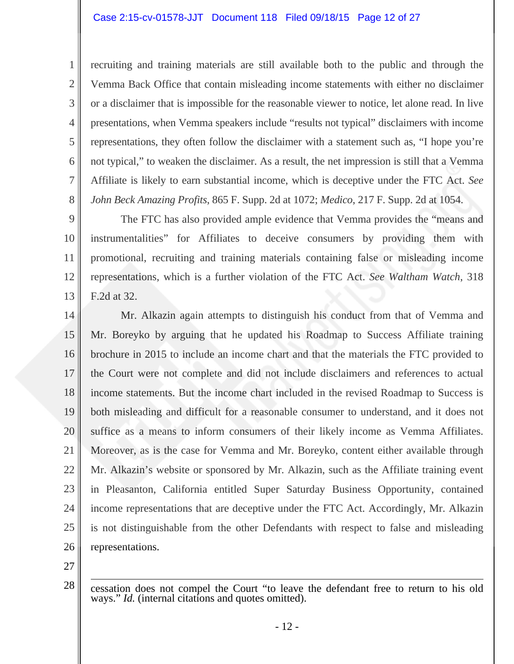recruiting and training materials are still available both to the public and through the Vemma Back Office that contain misleading income statements with either no disclaimer or a disclaimer that is impossible for the reasonable viewer to notice, let alone read. In live presentations, when Vemma speakers include "results not typical" disclaimers with income representations, they often follow the disclaimer with a statement such as, "I hope you're not typical," to weaken the disclaimer. As a result, the net impression is still that a Vemma Affiliate is likely to earn substantial income, which is deceptive under the FTC Act. *See John Beck Amazing Profits*, 865 F. Supp. 2d at 1072; *Medico*, 217 F. Supp. 2d at 1054.

9 10 11 12 13 The FTC has also provided ample evidence that Vemma provides the "means and instrumentalities" for Affiliates to deceive consumers by providing them with promotional, recruiting and training materials containing false or misleading income representations, which is a further violation of the FTC Act. *See Waltham Watch*, 318 F.2d at 32.

14 15 16 17 18 19 20 21 22 23 24 25 26 Mr. Alkazin again attempts to distinguish his conduct from that of Vemma and Mr. Boreyko by arguing that he updated his Roadmap to Success Affiliate training brochure in 2015 to include an income chart and that the materials the FTC provided to the Court were not complete and did not include disclaimers and references to actual income statements. But the income chart included in the revised Roadmap to Success is both misleading and difficult for a reasonable consumer to understand, and it does not suffice as a means to inform consumers of their likely income as Vemma Affiliates. Moreover, as is the case for Vemma and Mr. Boreyko, content either available through Mr. Alkazin's website or sponsored by Mr. Alkazin, such as the Affiliate training event in Pleasanton, California entitled Super Saturday Business Opportunity, contained income representations that are deceptive under the FTC Act. Accordingly, Mr. Alkazin is not distinguishable from the other Defendants with respect to false and misleading representations.

27

1

2

3

4

5

6

7

8

28  $\overline{a}$ cessation does not compel the Court "to leave the defendant free to return to his old ways." *Id.* (internal citations and quotes omitted).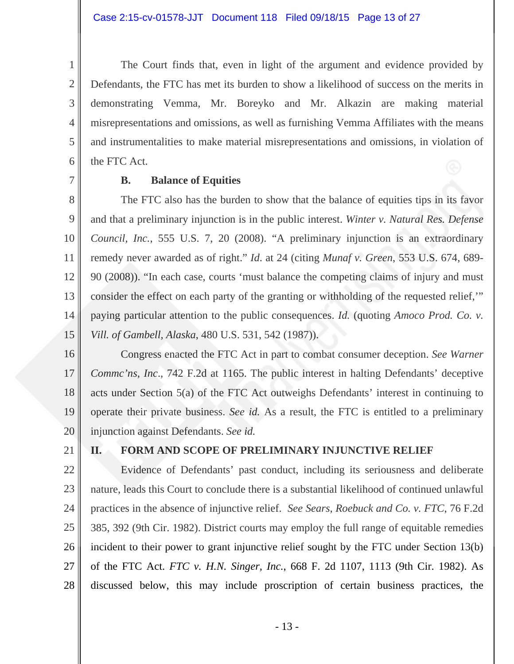The Court finds that, even in light of the argument and evidence provided by Defendants, the FTC has met its burden to show a likelihood of success on the merits in demonstrating Vemma, Mr. Boreyko and Mr. Alkazin are making material misrepresentations and omissions, as well as furnishing Vemma Affiliates with the means and instrumentalities to make material misrepresentations and omissions, in violation of the FTC Act.

7

1

2

3

4

5

6

### **B. Balance of Equities**

8 9 10 11 12 13 14 15 The FTC also has the burden to show that the balance of equities tips in its favor and that a preliminary injunction is in the public interest. *Winter v. Natural Res. Defense Council, Inc.*, 555 U.S. 7, 20 (2008). "A preliminary injunction is an extraordinary remedy never awarded as of right." *Id*. at 24 (citing *Munaf v. Green*, 553 U.S. 674, 689- 90 (2008)). "In each case, courts 'must balance the competing claims of injury and must consider the effect on each party of the granting or withholding of the requested relief,'" paying particular attention to the public consequences. *Id.* (quoting *Amoco Prod. Co. v. Vill. of Gambell, Alaska*, 480 U.S. 531, 542 (1987)).

16 17 18 19 20 Congress enacted the FTC Act in part to combat consumer deception. *See Warner Commc'ns, Inc*., 742 F.2d at 1165. The public interest in halting Defendants' deceptive acts under Section 5(a) of the FTC Act outweighs Defendants' interest in continuing to operate their private business. *See id.* As a result, the FTC is entitled to a preliminary injunction against Defendants. *See id.* 

21

# **II. FORM AND SCOPE OF PRELIMINARY INJUNCTIVE RELIEF**

22 23 24 25 26 27 28 Evidence of Defendants' past conduct, including its seriousness and deliberate nature, leads this Court to conclude there is a substantial likelihood of continued unlawful practices in the absence of injunctive relief. *See Sears, Roebuck and Co. v. FTC*, 76 F.2d 385, 392 (9th Cir. 1982). District courts may employ the full range of equitable remedies incident to their power to grant injunctive relief sought by the FTC under Section 13(b) of the FTC Act. *FTC v. H.N. Singer, Inc.*, 668 F. 2d 1107, 1113 (9th Cir. 1982). As discussed below, this may include proscription of certain business practices, the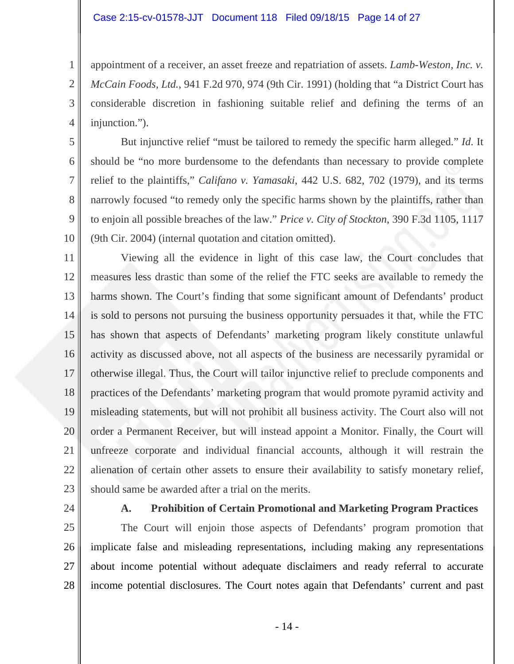#### Case 2:15-cv-01578-JJT Document 118 Filed 09/18/15 Page 14 of 27

appointment of a receiver, an asset freeze and repatriation of assets. *Lamb-Weston, Inc. v. McCain Foods, Ltd.*, 941 F.2d 970, 974 (9th Cir. 1991) (holding that "a District Court has considerable discretion in fashioning suitable relief and defining the terms of an injunction.").

 But injunctive relief "must be tailored to remedy the specific harm alleged." *Id*. It should be "no more burdensome to the defendants than necessary to provide complete relief to the plaintiffs," *Califano v. Yamasaki*, 442 U.S. 682, 702 (1979), and its terms narrowly focused "to remedy only the specific harms shown by the plaintiffs, rather than to enjoin all possible breaches of the law." *Price v. City of Stockton*, 390 F.3d 1105, 1117 (9th Cir. 2004) (internal quotation and citation omitted).

11 12 13 14 15 16 17 18 19 20 21 22 23 Viewing all the evidence in light of this case law, the Court concludes that measures less drastic than some of the relief the FTC seeks are available to remedy the harms shown. The Court's finding that some significant amount of Defendants' product is sold to persons not pursuing the business opportunity persuades it that, while the FTC has shown that aspects of Defendants' marketing program likely constitute unlawful activity as discussed above, not all aspects of the business are necessarily pyramidal or otherwise illegal. Thus, the Court will tailor injunctive relief to preclude components and practices of the Defendants' marketing program that would promote pyramid activity and misleading statements, but will not prohibit all business activity. The Court also will not order a Permanent Receiver, but will instead appoint a Monitor. Finally, the Court will unfreeze corporate and individual financial accounts, although it will restrain the alienation of certain other assets to ensure their availability to satisfy monetary relief, should same be awarded after a trial on the merits.

24

1

2

3

4

5

6

7

8

9

10

### **A. Prohibition of Certain Promotional and Marketing Program Practices**

25 26 27 28 The Court will enjoin those aspects of Defendants' program promotion that implicate false and misleading representations, including making any representations about income potential without adequate disclaimers and ready referral to accurate income potential disclosures. The Court notes again that Defendants' current and past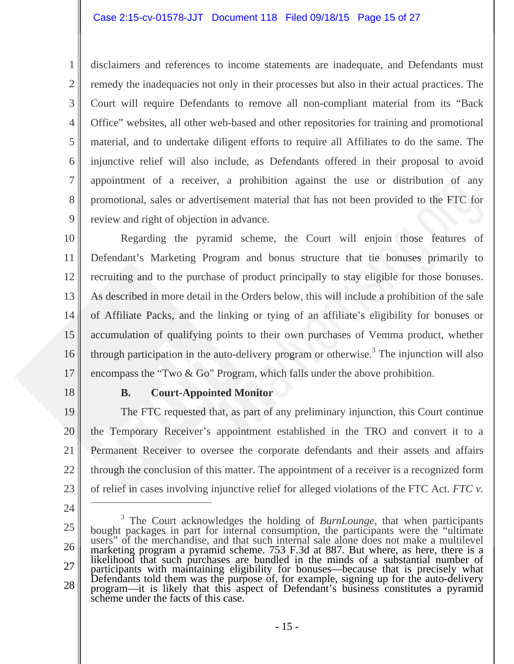### Case 2:15-cv-01578-JJT Document 118 Filed 09/18/15 Page 15 of 27

disclaimers and references to income statements are inadequate, and Defendants must remedy the inadequacies not only in their processes but also in their actual practices. The Court will require Defendants to remove all non-compliant material from its "Back Office" websites, all other web-based and other repositories for training and promotional material, and to undertake diligent efforts to require all Affiliates to do the same. The injunctive relief will also include, as Defendants offered in their proposal to avoid appointment of a receiver, a prohibition against the use or distribution of any promotional, sales or advertisement material that has not been provided to the FTC for review and right of objection in advance.

10 11 12 13 14 15 16 17 Regarding the pyramid scheme, the Court will enjoin those features of Defendant's Marketing Program and bonus structure that tie bonuses primarily to recruiting and to the purchase of product principally to stay eligible for those bonuses. As described in more detail in the Orders below, this will include a prohibition of the sale of Affiliate Packs, and the linking or tying of an affiliate's eligibility for bonuses or accumulation of qualifying points to their own purchases of Vemma product, whether through participation in the auto-delivery program or otherwise.<sup>3</sup> The injunction will also encompass the "Two & Go" Program, which falls under the above prohibition.

18

1

2

3

4

5

6

7

8

9

### **B. Court-Appointed Monitor**

19 20 21 22 23 The FTC requested that, as part of any preliminary injunction, this Court continue the Temporary Receiver's appointment established in the TRO and convert it to a Permanent Receiver to oversee the corporate defendants and their assets and affairs through the conclusion of this matter. The appointment of a receiver is a recognized form of relief in cases involving injunctive relief for alleged violations of the FTC Act. *FTC v.* 

 $\overline{a}$ 

<sup>24</sup> 

<sup>25</sup> 

<sup>27</sup>  28  $3$  The Court acknowledges the holding of *BurnLounge*, that when participants <sup>3</sup> The Court acknowledges the holding of *BurnLounge*, that when participants bought packages in part for internal consumption, the participants were the "ultimate users" of the merchandise, and that such internal sale al marketing program a pyramid scheme. 753 F.3d at 887. But where, as here, there is a likelihood that such purchases are bundled in the minds of a substantial number of participants with maintaining eligibility for bonuses—because that is precisely what<br>Defendants told them was the purpose of, for example, signing up for the auto-delivery<br>program—it is likely that this aspect of Defendant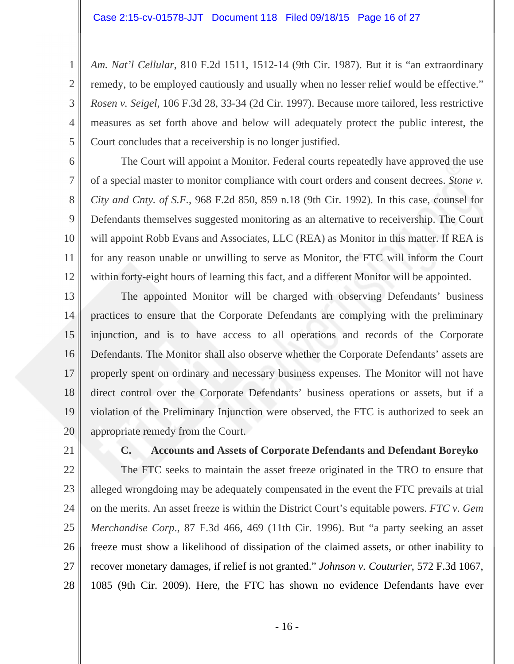*Am. Nat'l Cellular*, 810 F.2d 1511, 1512-14 (9th Cir. 1987). But it is "an extraordinary remedy, to be employed cautiously and usually when no lesser relief would be effective." *Rosen v. Seigel*, 106 F.3d 28, 33-34 (2d Cir. 1997). Because more tailored, less restrictive measures as set forth above and below will adequately protect the public interest, the Court concludes that a receivership is no longer justified.

 The Court will appoint a Monitor. Federal courts repeatedly have approved the use of a special master to monitor compliance with court orders and consent decrees. *Stone v. City and Cnty. of S.F.*, 968 F.2d 850, 859 n.18 (9th Cir. 1992). In this case, counsel for Defendants themselves suggested monitoring as an alternative to receivership. The Court will appoint Robb Evans and Associates, LLC (REA) as Monitor in this matter. If REA is for any reason unable or unwilling to serve as Monitor, the FTC will inform the Court within forty-eight hours of learning this fact, and a different Monitor will be appointed.

13 14 15 16 17 18 19 20 The appointed Monitor will be charged with observing Defendants' business practices to ensure that the Corporate Defendants are complying with the preliminary injunction, and is to have access to all operations and records of the Corporate Defendants. The Monitor shall also observe whether the Corporate Defendants' assets are properly spent on ordinary and necessary business expenses. The Monitor will not have direct control over the Corporate Defendants' business operations or assets, but if a violation of the Preliminary Injunction were observed, the FTC is authorized to seek an appropriate remedy from the Court.

21

1

2

3

4

5

6

7

8

9

10

11

12

### **C. Accounts and Assets of Corporate Defendants and Defendant Boreyko**

22 23 24 25 26 27 28 The FTC seeks to maintain the asset freeze originated in the TRO to ensure that alleged wrongdoing may be adequately compensated in the event the FTC prevails at trial on the merits. An asset freeze is within the District Court's equitable powers. *FTC v. Gem Merchandise Corp*., 87 F.3d 466, 469 (11th Cir. 1996). But "a party seeking an asset freeze must show a likelihood of dissipation of the claimed assets, or other inability to recover monetary damages, if relief is not granted." *Johnson v. Couturier*, 572 F.3d 1067, 1085 (9th Cir. 2009). Here, the FTC has shown no evidence Defendants have ever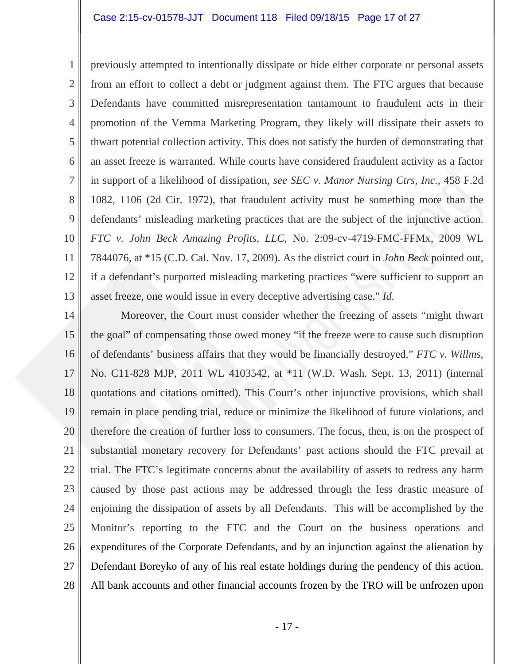1 2 3 4 5 6 7 8 9 10 11 12 13 previously attempted to intentionally dissipate or hide either corporate or personal assets from an effort to collect a debt or judgment against them. The FTC argues that because Defendants have committed misrepresentation tantamount to fraudulent acts in their promotion of the Vemma Marketing Program, they likely will dissipate their assets to thwart potential collection activity. This does not satisfy the burden of demonstrating that an asset freeze is warranted. While courts have considered fraudulent activity as a factor in support of a likelihood of dissipation, *see SEC v. Manor Nursing Ctrs, Inc.*, 458 F.2d 1082, 1106 (2d Cir. 1972), that fraudulent activity must be something more than the defendants' misleading marketing practices that are the subject of the injunctive action. *FTC v. John Beck Amazing Profits, LLC*, No. 2:09-cv-4719-FMC-FFMx, 2009 WL 7844076, at \*15 (C.D. Cal. Nov. 17, 2009). As the district court in *John Beck* pointed out, if a defendant's purported misleading marketing practices "were sufficient to support an asset freeze, one would issue in every deceptive advertising case." *Id.*

14 15 16 17 18 19 20 21 22 23 24 25 26 27 28 Moreover, the Court must consider whether the freezing of assets "might thwart the goal" of compensating those owed money "if the freeze were to cause such disruption of defendants' business affairs that they would be financially destroyed." *FTC v. Willms*, No. C11-828 MJP, 2011 WL 4103542, at \*11 (W.D. Wash. Sept. 13, 2011) (internal quotations and citations omitted). This Court's other injunctive provisions, which shall remain in place pending trial, reduce or minimize the likelihood of future violations, and therefore the creation of further loss to consumers. The focus, then, is on the prospect of substantial monetary recovery for Defendants' past actions should the FTC prevail at trial. The FTC's legitimate concerns about the availability of assets to redress any harm caused by those past actions may be addressed through the less drastic measure of enjoining the dissipation of assets by all Defendants. This will be accomplished by the Monitor's reporting to the FTC and the Court on the business operations and expenditures of the Corporate Defendants, and by an injunction against the alienation by Defendant Boreyko of any of his real estate holdings during the pendency of this action. All bank accounts and other financial accounts frozen by the TRO will be unfrozen upon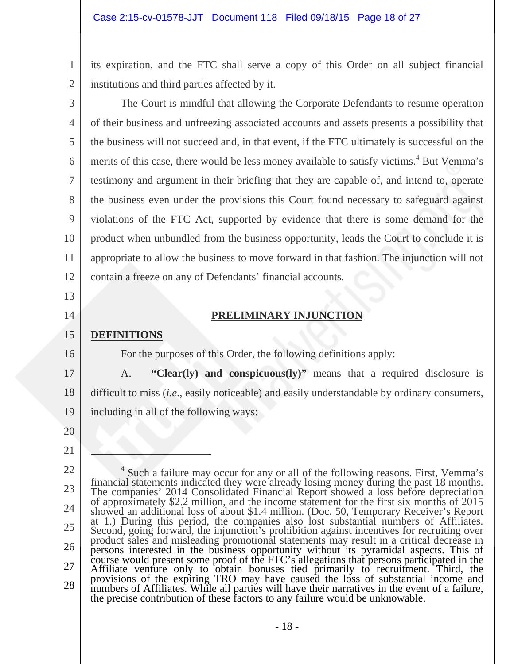its expiration, and the FTC shall serve a copy of this Order on all subject financial institutions and third parties affected by it.

 The Court is mindful that allowing the Corporate Defendants to resume operation of their business and unfreezing associated accounts and assets presents a possibility that the business will not succeed and, in that event, if the FTC ultimately is successful on the merits of this case, there would be less money available to satisfy victims.<sup>4</sup> But Vemma's testimony and argument in their briefing that they are capable of, and intend to, operate the business even under the provisions this Court found necessary to safeguard against violations of the FTC Act, supported by evidence that there is some demand for the product when unbundled from the business opportunity, leads the Court to conclude it is appropriate to allow the business to move forward in that fashion. The injunction will not contain a freeze on any of Defendants' financial accounts.

### **PRELIMINARY INJUNCTION**

#### 15 **DEFINITIONS**

For the purposes of this Order, the following definitions apply:

17 18 19 A. **"Clear(ly) and conspicuous(ly)"** means that a required disclosure is difficult to miss (*i.e*., easily noticeable) and easily understandable by ordinary consumers, including in all of the following ways:

20

21

-

1

2

3

4

5

6

7

8

9

10

11

12

13

14

<sup>22</sup>  23 24 25 26 27 28 <sup>4</sup> Such a failure may occur for any or all of the following reasons. First, Vemma's financial statements indicated they were already losing money during the past 18 months.<br>The companies' 2014 Consolidated Financial Report showed a loss before depreciation<br>of approximately \$2.2 million, and the income sta showed an additional loss of about \$1.4 million. (Doc. 50, Temporary Receiver's Report at 1.) During this period, the companies also lost substantial numbers of Affiliates. Second, going forward, the injunction's prohibition against incentives for recruiting over product sales and misleading promotional statements may result in a critical decrease in persons interested in the business opportu persons interested in the business opportunity without its pyramidal aspects. This of course would present some proof of the FTC's allegations that persons participated in the Affiliate venture only to obtain bonuses tied provisions of the expiring TRO may have caused the loss of substantial income and numbers of Affiliates. While all parties will have their narratives in the event of a failure, the precise contribution of these factors to any failure would be unknowable.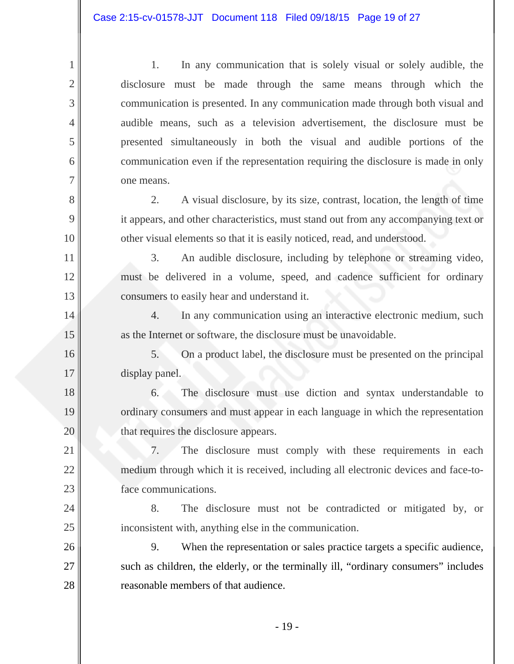1

2

3

4

5

6

7

8

9

10

11

12

13

14

15

16

17

18

19

20

21

22

23

24

25

26

27

28

1. In any communication that is solely visual or solely audible, the disclosure must be made through the same means through which the communication is presented. In any communication made through both visual and audible means, such as a television advertisement, the disclosure must be presented simultaneously in both the visual and audible portions of the communication even if the representation requiring the disclosure is made in only one means.

2. A visual disclosure, by its size, contrast, location, the length of time it appears, and other characteristics, must stand out from any accompanying text or other visual elements so that it is easily noticed, read, and understood.

3. An audible disclosure, including by telephone or streaming video, must be delivered in a volume, speed, and cadence sufficient for ordinary consumers to easily hear and understand it.

4. In any communication using an interactive electronic medium, such as the Internet or software, the disclosure must be unavoidable.

5. On a product label, the disclosure must be presented on the principal display panel.

6. The disclosure must use diction and syntax understandable to ordinary consumers and must appear in each language in which the representation that requires the disclosure appears.

7. The disclosure must comply with these requirements in each medium through which it is received, including all electronic devices and face-toface communications.

8. The disclosure must not be contradicted or mitigated by, or inconsistent with, anything else in the communication.

9. When the representation or sales practice targets a specific audience, such as children, the elderly, or the terminally ill, "ordinary consumers" includes reasonable members of that audience.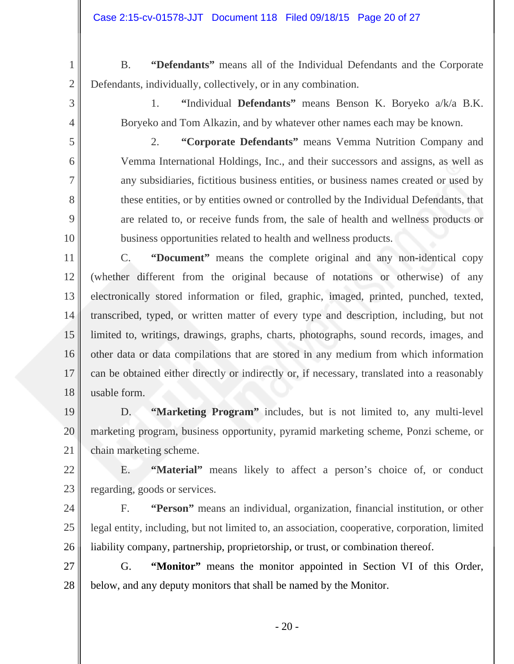B. **"Defendants"** means all of the Individual Defendants and the Corporate Defendants, individually, collectively, or in any combination.

1

2

3

4

5

6

7

8

9

10

1. **"**Individual **Defendants"** means Benson K. Boryeko a/k/a B.K. Boryeko and Tom Alkazin, and by whatever other names each may be known.

2. **"Corporate Defendants"** means Vemma Nutrition Company and Vemma International Holdings, Inc., and their successors and assigns, as well as any subsidiaries, fictitious business entities, or business names created or used by these entities, or by entities owned or controlled by the Individual Defendants, that are related to, or receive funds from, the sale of health and wellness products or business opportunities related to health and wellness products.

11 12 13 14 15 16 17 18 C. **"Document"** means the complete original and any non-identical copy (whether different from the original because of notations or otherwise) of any electronically stored information or filed, graphic, imaged, printed, punched, texted, transcribed, typed, or written matter of every type and description, including, but not limited to, writings, drawings, graphs, charts, photographs, sound records, images, and other data or data compilations that are stored in any medium from which information can be obtained either directly or indirectly or, if necessary, translated into a reasonably usable form.

19 20 21 D. **"Marketing Program"** includes, but is not limited to, any multi-level marketing program, business opportunity, pyramid marketing scheme, Ponzi scheme, or chain marketing scheme.

22 23 E. **"Material"** means likely to affect a person's choice of, or conduct regarding, goods or services.

24 25 26 F. **"Person"** means an individual, organization, financial institution, or other legal entity, including, but not limited to, an association, cooperative, corporation, limited liability company, partnership, proprietorship, or trust, or combination thereof.

27 28 G. **"Monitor"** means the monitor appointed in Section VI of this Order, below, and any deputy monitors that shall be named by the Monitor.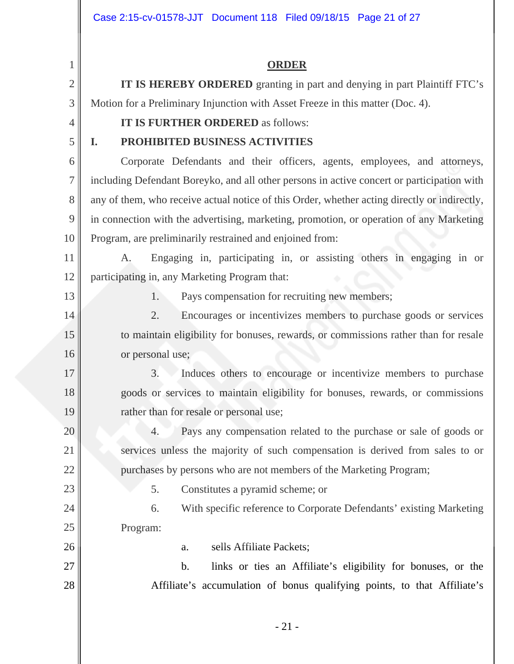**ORDER** 

1 2 3 4 5 6 7 8 9 10 11 **IT IS HEREBY ORDERED** granting in part and denying in part Plaintiff FTC's Motion for a Preliminary Injunction with Asset Freeze in this matter (Doc. 4). **IT IS FURTHER ORDERED** as follows: **I. PROHIBITED BUSINESS ACTIVITIES**  Corporate Defendants and their officers, agents, employees, and attorneys, including Defendant Boreyko, and all other persons in active concert or participation with any of them, who receive actual notice of this Order, whether acting directly or indirectly, in connection with the advertising, marketing, promotion, or operation of any Marketing Program, are preliminarily restrained and enjoined from: A. Engaging in, participating in, or assisting others in engaging in or

12 participating in, any Marketing Program that:

13

14

15

16

17

18

19

20

21

22

23

24

25

26

27

28

1. Pays compensation for recruiting new members;

2. Encourages or incentivizes members to purchase goods or services to maintain eligibility for bonuses, rewards, or commissions rather than for resale or personal use;

3. Induces others to encourage or incentivize members to purchase goods or services to maintain eligibility for bonuses, rewards, or commissions rather than for resale or personal use;

4. Pays any compensation related to the purchase or sale of goods or services unless the majority of such compensation is derived from sales to or purchases by persons who are not members of the Marketing Program;

5. Constitutes a pyramid scheme; or

6. With specific reference to Corporate Defendants' existing Marketing Program:

a. sells Affiliate Packets;

b. links or ties an Affiliate's eligibility for bonuses, or the Affiliate's accumulation of bonus qualifying points, to that Affiliate's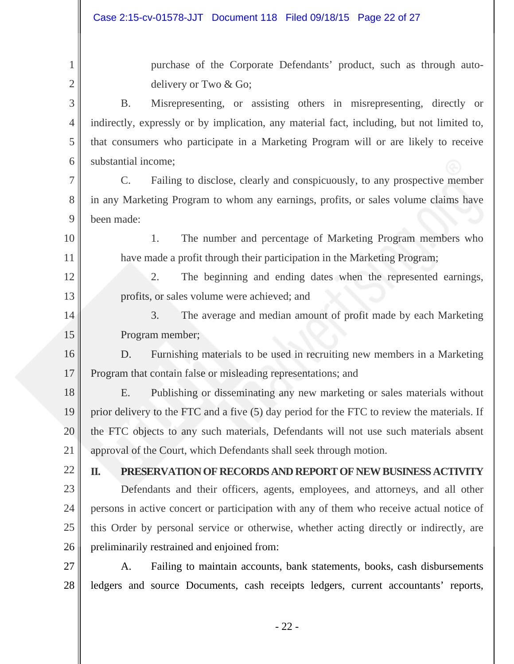purchase of the Corporate Defendants' product, such as through autodelivery or Two & Go;

3 4 5 6 B. Misrepresenting, or assisting others in misrepresenting, directly or indirectly, expressly or by implication, any material fact, including, but not limited to, that consumers who participate in a Marketing Program will or are likely to receive substantial income;

7 8 9 C. Failing to disclose, clearly and conspicuously, to any prospective member in any Marketing Program to whom any earnings, profits, or sales volume claims have been made:

1. The number and percentage of Marketing Program members who have made a profit through their participation in the Marketing Program;

2. The beginning and ending dates when the represented earnings, profits, or sales volume were achieved; and

3. The average and median amount of profit made by each Marketing Program member;

16 17 D. Furnishing materials to be used in recruiting new members in a Marketing Program that contain false or misleading representations; and

18 19 20 21 E. Publishing or disseminating any new marketing or sales materials without prior delivery to the FTC and a five (5) day period for the FTC to review the materials. If the FTC objects to any such materials, Defendants will not use such materials absent approval of the Court, which Defendants shall seek through motion.

22

1

2

10

11

12

13

14

15

**II. PRESERVATION OF RECORDS AND REPORT OF NEW BUSINESS ACTIVITY** 

23 24 25 26 Defendants and their officers, agents, employees, and attorneys, and all other persons in active concert or participation with any of them who receive actual notice of this Order by personal service or otherwise, whether acting directly or indirectly, are preliminarily restrained and enjoined from:

27 28 A. Failing to maintain accounts, bank statements, books, cash disbursements ledgers and source Documents, cash receipts ledgers, current accountants' reports,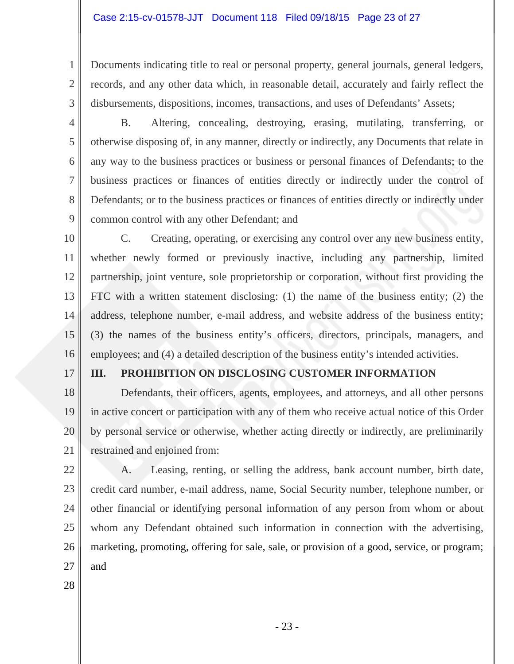Documents indicating title to real or personal property, general journals, general ledgers, records, and any other data which, in reasonable detail, accurately and fairly reflect the disbursements, dispositions, incomes, transactions, and uses of Defendants' Assets;

4 5

6

7

8

9

1

2

3

 B. Altering, concealing, destroying, erasing, mutilating, transferring, or otherwise disposing of, in any manner, directly or indirectly, any Documents that relate in any way to the business practices or business or personal finances of Defendants; to the business practices or finances of entities directly or indirectly under the control of Defendants; or to the business practices or finances of entities directly or indirectly under common control with any other Defendant; and

10 11 12 13 14 15 16 C. Creating, operating, or exercising any control over any new business entity, whether newly formed or previously inactive, including any partnership, limited partnership, joint venture, sole proprietorship or corporation, without first providing the FTC with a written statement disclosing: (1) the name of the business entity; (2) the address, telephone number, e-mail address, and website address of the business entity; (3) the names of the business entity's officers, directors, principals, managers, and employees; and (4) a detailed description of the business entity's intended activities.

17

### **III. PROHIBITION ON DISCLOSING CUSTOMER INFORMATION**

18 19 20 21 Defendants, their officers, agents, employees, and attorneys, and all other persons in active concert or participation with any of them who receive actual notice of this Order by personal service or otherwise, whether acting directly or indirectly, are preliminarily restrained and enjoined from:

22

23 24 25 26 27 A. Leasing, renting, or selling the address, bank account number, birth date, credit card number, e-mail address, name, Social Security number, telephone number, or other financial or identifying personal information of any person from whom or about whom any Defendant obtained such information in connection with the advertising, marketing, promoting, offering for sale, sale, or provision of a good, service, or program; and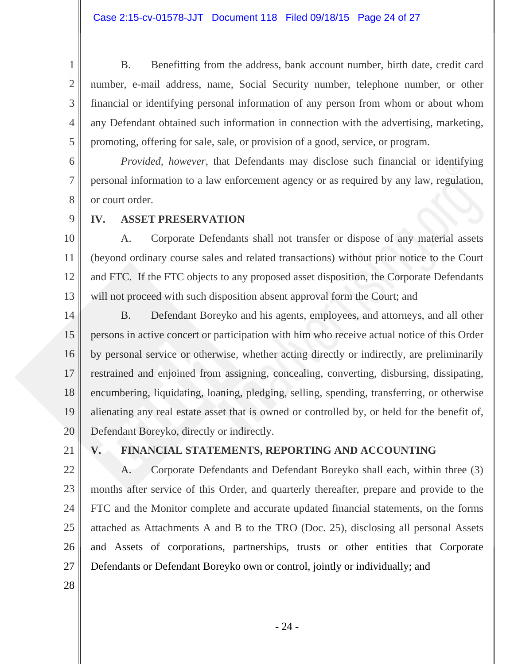B. Benefitting from the address, bank account number, birth date, credit card number, e-mail address, name, Social Security number, telephone number, or other financial or identifying personal information of any person from whom or about whom any Defendant obtained such information in connection with the advertising, marketing, promoting, offering for sale, sale, or provision of a good, service, or program.

*Provided, however*, that Defendants may disclose such financial or identifying personal information to a law enforcement agency or as required by any law, regulation, or court order.

9

1

2

3

4

5

6

7

8

10

11

12

13

# **IV. ASSET PRESERVATION**

 A. Corporate Defendants shall not transfer or dispose of any material assets (beyond ordinary course sales and related transactions) without prior notice to the Court and FTC. If the FTC objects to any proposed asset disposition, the Corporate Defendants will not proceed with such disposition absent approval form the Court; and

14 15 16 17 18 19 20 B. Defendant Boreyko and his agents, employees, and attorneys, and all other persons in active concert or participation with him who receive actual notice of this Order by personal service or otherwise, whether acting directly or indirectly, are preliminarily restrained and enjoined from assigning, concealing, converting, disbursing, dissipating, encumbering, liquidating, loaning, pledging, selling, spending, transferring, or otherwise alienating any real estate asset that is owned or controlled by, or held for the benefit of, Defendant Boreyko, directly or indirectly.

21

# **V. FINANCIAL STATEMENTS, REPORTING AND ACCOUNTING**

22 23 24 25 26 27 A. Corporate Defendants and Defendant Boreyko shall each, within three (3) months after service of this Order, and quarterly thereafter, prepare and provide to the FTC and the Monitor complete and accurate updated financial statements, on the forms attached as Attachments A and B to the TRO (Doc. 25), disclosing all personal Assets and Assets of corporations, partnerships, trusts or other entities that Corporate Defendants or Defendant Boreyko own or control, jointly or individually; and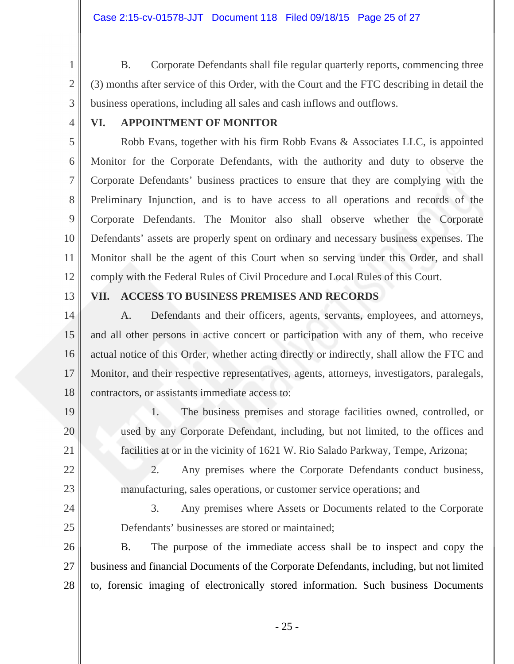B. Corporate Defendants shall file regular quarterly reports, commencing three (3) months after service of this Order, with the Court and the FTC describing in detail the business operations, including all sales and cash inflows and outflows.

4

5

6

7

8

9

10

11

12

3

1

2

# **VI. APPOINTMENT OF MONITOR**

 Robb Evans, together with his firm Robb Evans & Associates LLC, is appointed Monitor for the Corporate Defendants, with the authority and duty to observe the Corporate Defendants' business practices to ensure that they are complying with the Preliminary Injunction, and is to have access to all operations and records of the Corporate Defendants. The Monitor also shall observe whether the Corporate Defendants' assets are properly spent on ordinary and necessary business expenses. The Monitor shall be the agent of this Court when so serving under this Order, and shall comply with the Federal Rules of Civil Procedure and Local Rules of this Court.

13

19

20

21

22

23

24

25

### **VII. ACCESS TO BUSINESS PREMISES AND RECORDS**

14 15 16 17 18 A. Defendants and their officers, agents, servants, employees, and attorneys, and all other persons in active concert or participation with any of them, who receive actual notice of this Order, whether acting directly or indirectly, shall allow the FTC and Monitor, and their respective representatives, agents, attorneys, investigators, paralegals, contractors, or assistants immediate access to:

> 1. The business premises and storage facilities owned, controlled, or used by any Corporate Defendant, including, but not limited, to the offices and facilities at or in the vicinity of 1621 W. Rio Salado Parkway, Tempe, Arizona;

> 2. Any premises where the Corporate Defendants conduct business, manufacturing, sales operations, or customer service operations; and

3. Any premises where Assets or Documents related to the Corporate Defendants' businesses are stored or maintained;

26 27 28 B. The purpose of the immediate access shall be to inspect and copy the business and financial Documents of the Corporate Defendants, including, but not limited to, forensic imaging of electronically stored information. Such business Documents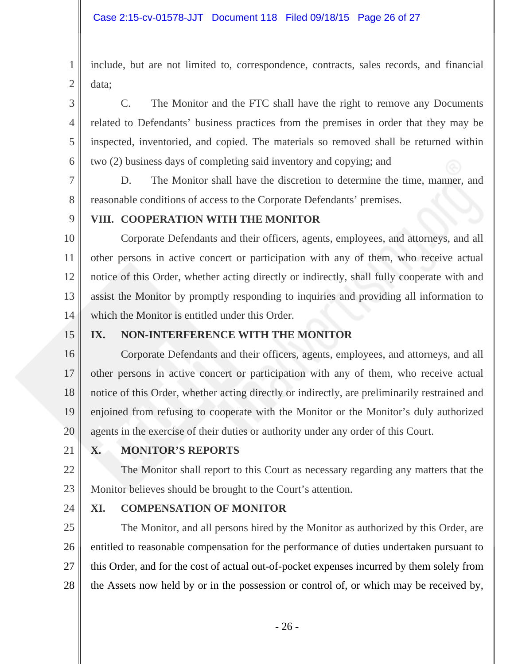2 include, but are not limited to, correspondence, contracts, sales records, and financial data;

 C. The Monitor and the FTC shall have the right to remove any Documents related to Defendants' business practices from the premises in order that they may be inspected, inventoried, and copied. The materials so removed shall be returned within two (2) business days of completing said inventory and copying; and

 D. The Monitor shall have the discretion to determine the time, manner, and reasonable conditions of access to the Corporate Defendants' premises.

8 9

1

3

4

5

6

7

# **VIII. COOPERATION WITH THE MONITOR**

10 11 12 13 14 Corporate Defendants and their officers, agents, employees, and attorneys, and all other persons in active concert or participation with any of them, who receive actual notice of this Order, whether acting directly or indirectly, shall fully cooperate with and assist the Monitor by promptly responding to inquiries and providing all information to which the Monitor is entitled under this Order.

15

# **IX. NON-INTERFERENCE WITH THE MONITOR**

16 17 18 19 20 Corporate Defendants and their officers, agents, employees, and attorneys, and all other persons in active concert or participation with any of them, who receive actual notice of this Order, whether acting directly or indirectly, are preliminarily restrained and enjoined from refusing to cooperate with the Monitor or the Monitor's duly authorized agents in the exercise of their duties or authority under any order of this Court.

21

# **X. MONITOR'S REPORTS**

22 23 The Monitor shall report to this Court as necessary regarding any matters that the Monitor believes should be brought to the Court's attention.

24

# **XI. COMPENSATION OF MONITOR**

25 26 27 28 The Monitor, and all persons hired by the Monitor as authorized by this Order, are entitled to reasonable compensation for the performance of duties undertaken pursuant to this Order, and for the cost of actual out-of-pocket expenses incurred by them solely from the Assets now held by or in the possession or control of, or which may be received by,

- 26 -